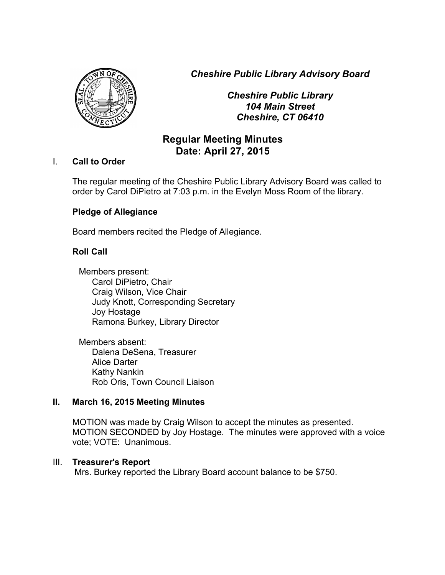*Cheshire Public Library Advisory Board*



*Cheshire Public Library 104 Main Street Cheshire, CT 06410*

# **Regular Meeting Minutes Date: April 27, 2015**

# I. **Call to Order**

The regular meeting of the Cheshire Public Library Advisory Board was called to order by Carol DiPietro at 7:03 p.m. in the Evelyn Moss Room of the library.

# **Pledge of Allegiance**

Board members recited the Pledge of Allegiance.

# **Roll Call**

Members present: Carol DiPietro, Chair Craig Wilson, Vice Chair Judy Knott, Corresponding Secretary Joy Hostage Ramona Burkey, Library Director

Members absent: Dalena DeSena, Treasurer Alice Darter Kathy Nankin Rob Oris, Town Council Liaison

# **II. March 16, 2015 Meeting Minutes**

MOTION was made by Craig Wilson to accept the minutes as presented. MOTION SECONDED by Joy Hostage. The minutes were approved with a voice vote; VOTE: Unanimous.

# III. **Treasurer's Report**

Mrs. Burkey reported the Library Board account balance to be \$750.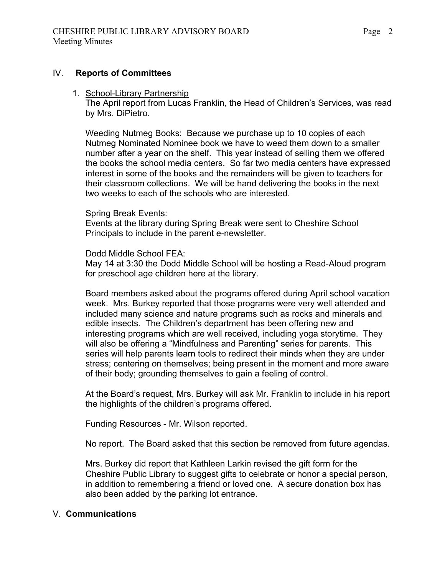#### IV. **Reports of Committees**

#### 1. School-Library Partnership

The April report from Lucas Franklin, the Head of Children's Services, was read by Mrs. DiPietro.

Weeding Nutmeg Books: Because we purchase up to 10 copies of each Nutmeg Nominated Nominee book we have to weed them down to a smaller number after a year on the shelf. This year instead of selling them we offered the books the school media centers. So far two media centers have expressed interest in some of the books and the remainders will be given to teachers for their classroom collections. We will be hand delivering the books in the next two weeks to each of the schools who are interested.

#### Spring Break Events:

Events at the library during Spring Break were sent to Cheshire School Principals to include in the parent e-newsletter.

#### Dodd Middle School FEA:

May 14 at 3:30 the Dodd Middle School will be hosting a Read-Aloud program for preschool age children here at the library.

Board members asked about the programs offered during April school vacation week. Mrs. Burkey reported that those programs were very well attended and included many science and nature programs such as rocks and minerals and edible insects. The Children's department has been offering new and interesting programs which are well received, including yoga storytime. They will also be offering a "Mindfulness and Parenting" series for parents. This series will help parents learn tools to redirect their minds when they are under stress; centering on themselves; being present in the moment and more aware of their body; grounding themselves to gain a feeling of control.

At the Board's request, Mrs. Burkey will ask Mr. Franklin to include in his report the highlights of the children's programs offered.

Funding Resources - Mr. Wilson reported.

No report. The Board asked that this section be removed from future agendas.

Mrs. Burkey did report that Kathleen Larkin revised the gift form for the Cheshire Public Library to suggest gifts to celebrate or honor a special person, in addition to remembering a friend or loved one. A secure donation box has also been added by the parking lot entrance.

# V. **Communications**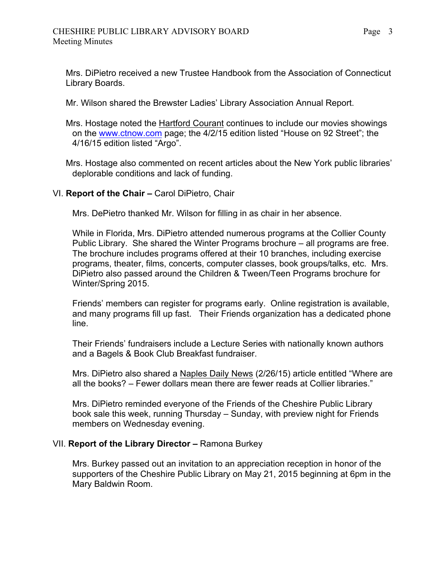Mrs. DiPietro received a new Trustee Handbook from the Association of Connecticut Library Boards.

Mr. Wilson shared the Brewster Ladies' Library Association Annual Report.

- Mrs. Hostage noted the Hartford Courant continues to include our movies showings on the www.ctnow.com page; the 4/2/15 edition listed "House on 92 Street"; the 4/16/15 edition listed "Argo".
- Mrs. Hostage also commented on recent articles about the New York public libraries' deplorable conditions and lack of funding.

### VI. **Report of the Chair –** Carol DiPietro, Chair

Mrs. DePietro thanked Mr. Wilson for filling in as chair in her absence.

While in Florida, Mrs. DiPietro attended numerous programs at the Collier County Public Library. She shared the Winter Programs brochure – all programs are free. The brochure includes programs offered at their 10 branches, including exercise programs, theater, films, concerts, computer classes, book groups/talks, etc. Mrs. DiPietro also passed around the Children & Tween/Teen Programs brochure for Winter/Spring 2015.

Friends' members can register for programs early. Online registration is available, and many programs fill up fast. Their Friends organization has a dedicated phone line.

Their Friends' fundraisers include a Lecture Series with nationally known authors and a Bagels & Book Club Breakfast fundraiser.

Mrs. DiPietro also shared a Naples Daily News (2/26/15) article entitled "Where are all the books? – Fewer dollars mean there are fewer reads at Collier libraries."

Mrs. DiPietro reminded everyone of the Friends of the Cheshire Public Library book sale this week, running Thursday – Sunday, with preview night for Friends members on Wednesday evening.

#### VII. **Report of the Library Director –** Ramona Burkey

Mrs. Burkey passed out an invitation to an appreciation reception in honor of the supporters of the Cheshire Public Library on May 21, 2015 beginning at 6pm in the Mary Baldwin Room.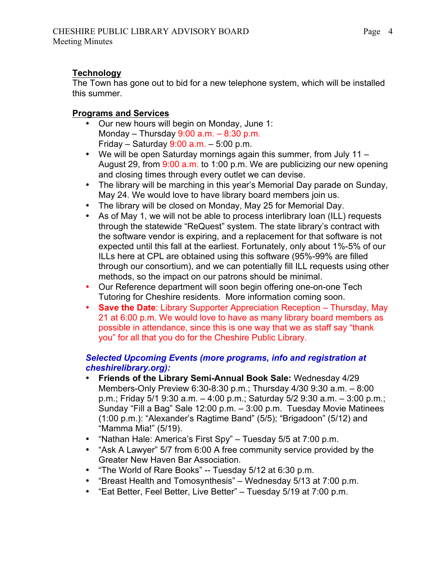# **Technology**

The Town has gone out to bid for a new telephone system, which will be installed this summer.

# **Programs and Services**

- Our new hours will begin on Monday, June 1: Monday – Thursday 9:00 a.m. – 8:30 p.m. Friday – Saturday 9:00 a.m. – 5:00 p.m.
- We will be open Saturday mornings again this summer, from July 11 August 29, from 9:00 a.m. to 1:00 p.m. We are publicizing our new opening and closing times through every outlet we can devise.
- The library will be marching in this year's Memorial Day parade on Sunday, May 24. We would love to have library board members join us.
- The library will be closed on Monday, May 25 for Memorial Day.
- As of May 1, we will not be able to process interlibrary loan (ILL) requests through the statewide "ReQuest" system. The state library's contract with the software vendor is expiring, and a replacement for that software is not expected until this fall at the earliest. Fortunately, only about 1%-5% of our ILLs here at CPL are obtained using this software (95%-99% are filled through our consortium), and we can potentially fill ILL requests using other methods, so the impact on our patrons should be minimal.
- Our Reference department will soon begin offering one-on-one Tech Tutoring for Cheshire residents. More information coming soon.
- **Save the Date**: Library Supporter Appreciation Reception Thursday, May 21 at 6:00 p.m. We would love to have as many library board members as possible in attendance, since this is one way that we as staff say "thank you" for all that you do for the Cheshire Public Library.

# *Selected Upcoming Events (more programs, info and registration at cheshirelibrary.org):*

- **Friends of the Library Semi-Annual Book Sale:** Wednesday 4/29 Members-Only Preview 6:30-8:30 p.m.; Thursday 4/30 9:30 a.m. – 8:00 p.m.; Friday 5/1 9:30 a.m. – 4:00 p.m.; Saturday 5/2 9:30 a.m. – 3:00 p.m.; Sunday "Fill a Bag" Sale 12:00 p.m. – 3:00 p.m. Tuesday Movie Matinees (1:00 p.m.): "Alexander's Ragtime Band" (5/5); "Brigadoon" (5/12) and "Mamma Mia!" (5/19).
- "Nathan Hale: America's First Spy" Tuesday 5/5 at 7:00 p.m.
- "Ask A Lawyer" 5/7 from 6:00 A free community service provided by the Greater New Haven Bar Association.
- "The World of Rare Books" -- Tuesday 5/12 at 6:30 p.m.
- "Breast Health and Tomosynthesis" Wednesday 5/13 at 7:00 p.m.
- "Eat Better, Feel Better, Live Better" Tuesday 5/19 at 7:00 p.m.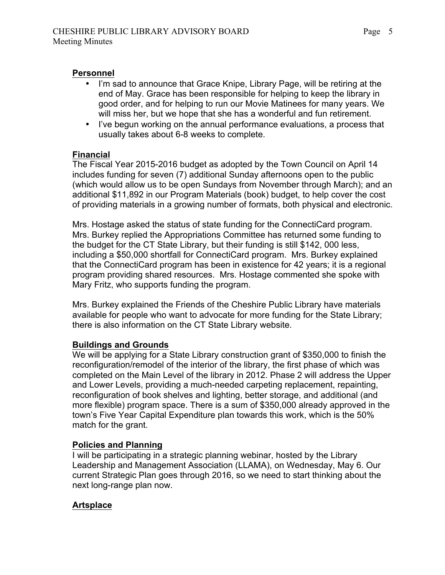### **Personnel**

- I'm sad to announce that Grace Knipe, Library Page, will be retiring at the end of May. Grace has been responsible for helping to keep the library in good order, and for helping to run our Movie Matinees for many years. We will miss her, but we hope that she has a wonderful and fun retirement.
- I've begun working on the annual performance evaluations, a process that usually takes about 6-8 weeks to complete.

# **Financial**

The Fiscal Year 2015-2016 budget as adopted by the Town Council on April 14 includes funding for seven (7) additional Sunday afternoons open to the public (which would allow us to be open Sundays from November through March); and an additional \$11,892 in our Program Materials (book) budget, to help cover the cost of providing materials in a growing number of formats, both physical and electronic.

Mrs. Hostage asked the status of state funding for the ConnectiCard program. Mrs. Burkey replied the Appropriations Committee has returned some funding to the budget for the CT State Library, but their funding is still \$142, 000 less, including a \$50,000 shortfall for ConnectiCard program. Mrs. Burkey explained that the ConnectiCard program has been in existence for 42 years; it is a regional program providing shared resources. Mrs. Hostage commented she spoke with Mary Fritz, who supports funding the program.

Mrs. Burkey explained the Friends of the Cheshire Public Library have materials available for people who want to advocate for more funding for the State Library; there is also information on the CT State Library website.

# **Buildings and Grounds**

We will be applying for a State Library construction grant of \$350,000 to finish the reconfiguration/remodel of the interior of the library, the first phase of which was completed on the Main Level of the library in 2012. Phase 2 will address the Upper and Lower Levels, providing a much-needed carpeting replacement, repainting, reconfiguration of book shelves and lighting, better storage, and additional (and more flexible) program space. There is a sum of \$350,000 already approved in the town's Five Year Capital Expenditure plan towards this work, which is the 50% match for the grant.

# **Policies and Planning**

I will be participating in a strategic planning webinar, hosted by the Library Leadership and Management Association (LLAMA), on Wednesday, May 6. Our current Strategic Plan goes through 2016, so we need to start thinking about the next long-range plan now.

# **Artsplace**